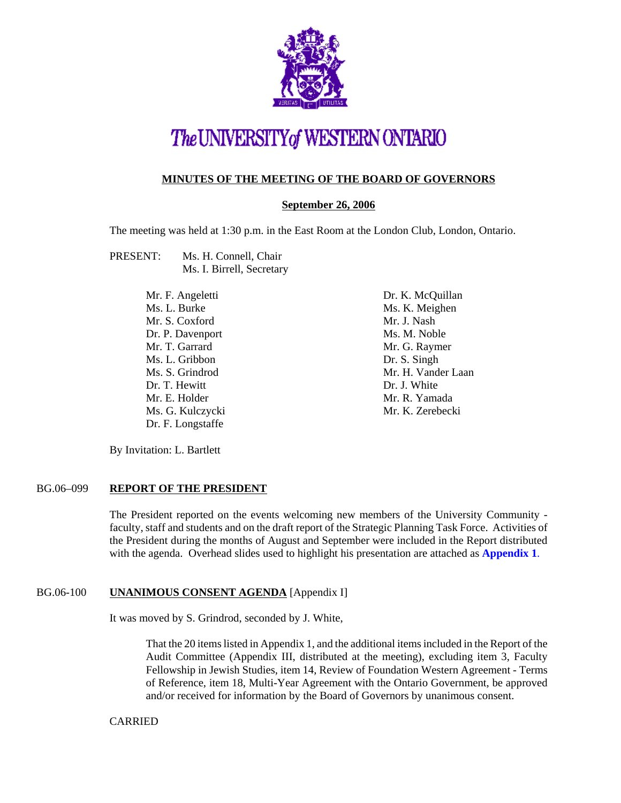

# The UNIVERSITY of WESTERN ONTARIO

### **MINUTES OF THE MEETING OF THE BOARD OF GOVERNORS**

### **September 26, 2006**

The meeting was held at 1:30 p.m. in the East Room at the London Club, London, Ontario.

- PRESENT: Ms. H. Connell, Chair Ms. I. Birrell, Secretary
	- Mr. F. Angeletti Ms. L. Burke Mr. S. Coxford Dr. P. Davenport Mr. T. Garrard Ms. L. Gribbon Ms. S. Grindrod Dr. T. Hewitt Mr. E. Holder Ms. G. Kulczycki Dr. F. Longstaffe

Dr. K. McQuillan Ms. K. Meighen Mr. J. Nash Ms. M. Noble Mr. G. Raymer Dr. S. Singh Mr. H. Vander Laan Dr. J. White Mr. R. Yamada Mr. K. Zerebecki

By Invitation: L. Bartlett

#### BG.06–099 **REPORT OF THE PRESIDENT**

The President reported on the events welcoming new members of the University Community faculty, staff and students and on the draft report of the Strategic Planning Task Force. Activities of the President during the months of August and September were included in the Report distributed with the agenda. Overhead slides used to highlight his presentation are attached as **[Appendix 1](#page-5-0)**.

#### BG.06-100 **UNANIMOUS CONSENT AGENDA** [Appendix I]

It was moved by S. Grindrod, seconded by J. White,

That the 20 items listed in Appendix 1, and the additional items included in the Report of the Audit Committee (Appendix III, distributed at the meeting), excluding item 3, Faculty Fellowship in Jewish Studies, item 14, Review of Foundation Western Agreement - Terms of Reference, item 18, Multi-Year Agreement with the Ontario Government, be approved and/or received for information by the Board of Governors by unanimous consent.

#### CARRIED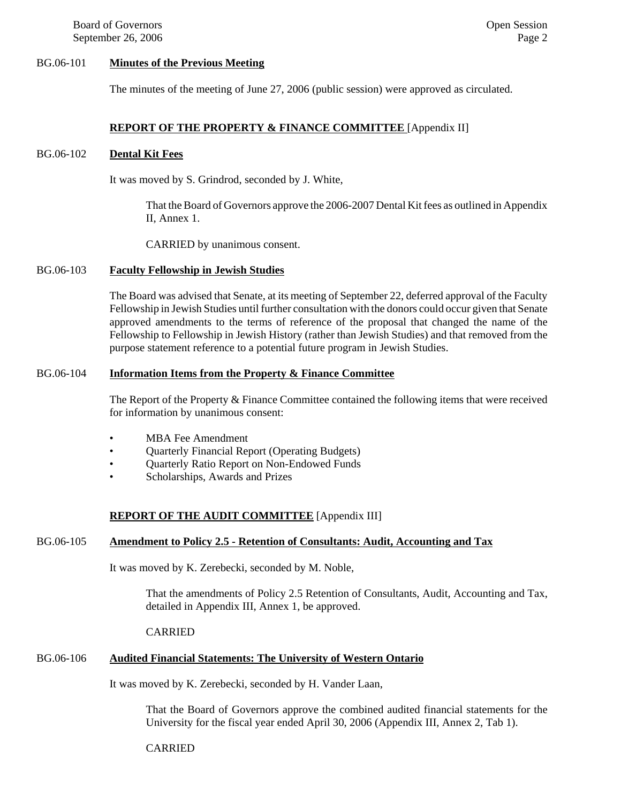Board of Governors **Open Session Open Session** September 26, 2006 Page 2

#### BG.06-101 **Minutes of the Previous Meeting**

The minutes of the meeting of June 27, 2006 (public session) were approved as circulated.

#### **REPORT OF THE PROPERTY & FINANCE COMMITTEE** [Appendix II]

#### BG.06-102 **Dental Kit Fees**

It was moved by S. Grindrod, seconded by J. White,

That the Board of Governors approve the 2006-2007 Dental Kit fees as outlined in Appendix II, Annex 1.

CARRIED by unanimous consent.

#### BG.06-103 **Faculty Fellowship in Jewish Studies**

The Board was advised that Senate, at its meeting of September 22, deferred approval of the Faculty Fellowship in Jewish Studies until further consultation with the donors could occur given that Senate approved amendments to the terms of reference of the proposal that changed the name of the Fellowship to Fellowship in Jewish History (rather than Jewish Studies) and that removed from the purpose statement reference to a potential future program in Jewish Studies.

#### BG.06-104 **Information Items from the Property & Finance Committee**

The Report of the Property & Finance Committee contained the following items that were received for information by unanimous consent:

- MBA Fee Amendment
- Quarterly Financial Report (Operating Budgets)
- Quarterly Ratio Report on Non-Endowed Funds
- Scholarships, Awards and Prizes

#### **REPORT OF THE AUDIT COMMITTEE** [Appendix III]

#### BG.06-105 **Amendment to Policy 2.5 - Retention of Consultants: Audit, Accounting and Tax**

It was moved by K. Zerebecki, seconded by M. Noble,

That the amendments of Policy 2.5 Retention of Consultants, Audit, Accounting and Tax, detailed in Appendix III, Annex 1, be approved.

#### CARRIED

### BG.06-106 **Audited Financial Statements: The University of Western Ontario**

It was moved by K. Zerebecki, seconded by H. Vander Laan,

That the Board of Governors approve the combined audited financial statements for the University for the fiscal year ended April 30, 2006 (Appendix III, Annex 2, Tab 1).

#### CARRIED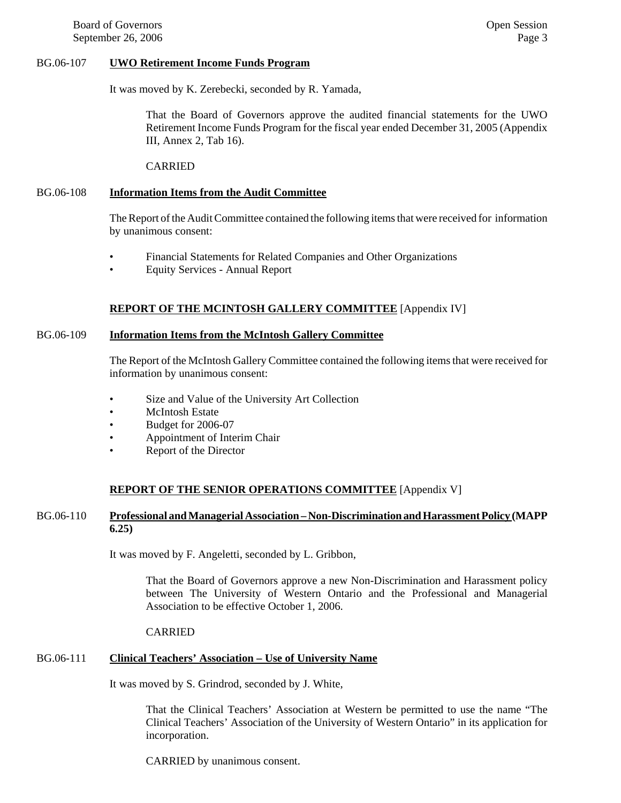Board of Governors **Open Session Open Session** September 26, 2006 Page 3

#### BG.06-107 **UWO Retirement Income Funds Program**

It was moved by K. Zerebecki, seconded by R. Yamada,

That the Board of Governors approve the audited financial statements for the UWO Retirement Income Funds Program for the fiscal year ended December 31, 2005 (Appendix III, Annex 2, Tab 16).

CARRIED

#### BG.06-108 **Information Items from the Audit Committee**

The Report of the Audit Committee contained the following items that were received for information by unanimous consent:

- Financial Statements for Related Companies and Other Organizations
- Equity Services Annual Report

#### **REPORT OF THE MCINTOSH GALLERY COMMITTEE** [Appendix IV]

#### BG.06-109 **Information Items from the McIntosh Gallery Committee**

The Report of the McIntosh Gallery Committee contained the following items that were received for information by unanimous consent:

- Size and Value of the University Art Collection
- **McIntosh Estate**
- Budget for 2006-07
- Appointment of Interim Chair
- Report of the Director

#### **REPORT OF THE SENIOR OPERATIONS COMMITTEE** [Appendix V]

#### BG.06-110 **Professional and Managerial Association – Non-Discrimination and Harassment Policy (MAPP 6.25)**

It was moved by F. Angeletti, seconded by L. Gribbon,

That the Board of Governors approve a new Non-Discrimination and Harassment policy between The University of Western Ontario and the Professional and Managerial Association to be effective October 1, 2006.

#### CARRIED

### BG.06-111 **Clinical Teachers' Association – Use of University Name**

It was moved by S. Grindrod, seconded by J. White,

That the Clinical Teachers' Association at Western be permitted to use the name "The Clinical Teachers' Association of the University of Western Ontario" in its application for incorporation.

CARRIED by unanimous consent.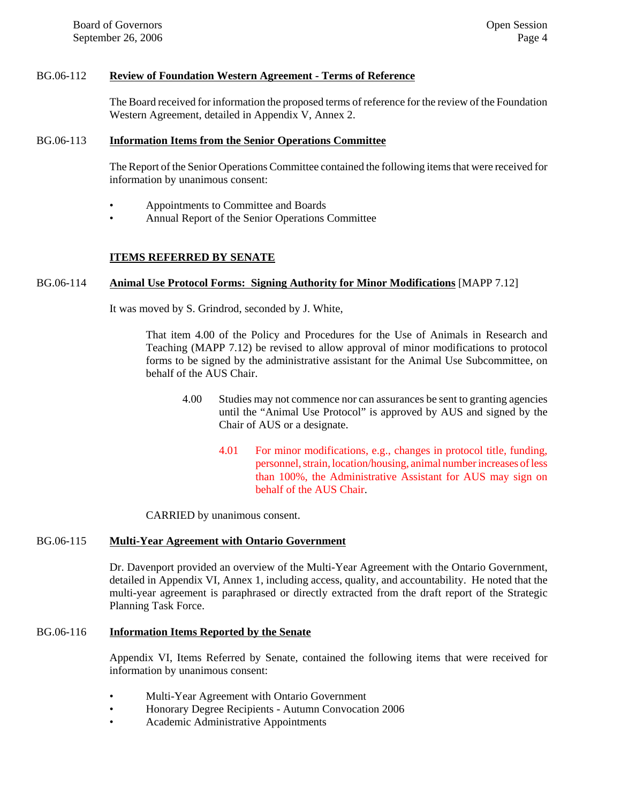#### BG.06-112 **Review of Foundation Western Agreement - Terms of Reference**

The Board received for information the proposed terms of reference for the review of the Foundation Western Agreement, detailed in Appendix V, Annex 2.

#### BG.06-113 **Information Items from the Senior Operations Committee**

The Report of the Senior Operations Committee contained the following items that were received for information by unanimous consent:

- Appointments to Committee and Boards
- Annual Report of the Senior Operations Committee

#### **ITEMS REFERRED BY SENATE**

#### BG.06-114 **Animal Use Protocol Forms: Signing Authority for Minor Modifications** [MAPP 7.12]

It was moved by S. Grindrod, seconded by J. White,

That item 4.00 of the Policy and Procedures for the Use of Animals in Research and Teaching (MAPP 7.12) be revised to allow approval of minor modifications to protocol forms to be signed by the administrative assistant for the Animal Use Subcommittee, on behalf of the AUS Chair.

- 4.00 Studies may not commence nor can assurances be sent to granting agencies until the "Animal Use Protocol" is approved by AUS and signed by the Chair of AUS or a designate.
	- 4.01 For minor modifications, e.g., changes in protocol title, funding, personnel, strain, location/housing, animal number increases of less than 100%, the Administrative Assistant for AUS may sign on behalf of the AUS Chair.

CARRIED by unanimous consent.

#### BG.06-115 **Multi-Year Agreement with Ontario Government**

Dr. Davenport provided an overview of the Multi-Year Agreement with the Ontario Government, detailed in Appendix VI, Annex 1, including access, quality, and accountability. He noted that the multi-year agreement is paraphrased or directly extracted from the draft report of the Strategic Planning Task Force.

#### BG.06-116 **Information Items Reported by the Senate**

Appendix VI, Items Referred by Senate, contained the following items that were received for information by unanimous consent:

- Multi-Year Agreement with Ontario Government
- Honorary Degree Recipients Autumn Convocation 2006
- Academic Administrative Appointments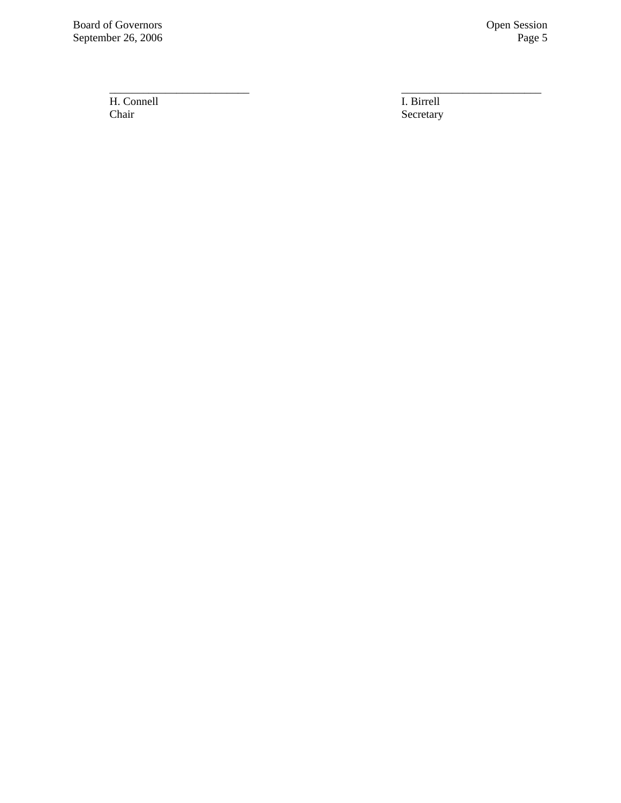Board of Governors Open Session<br>September 26, 2006 Page 5 September 26, 2006

H. Connell<br>Chair I. Birrell<br>Chair Secretary

Secretary

\_\_\_\_\_\_\_\_\_\_\_\_\_\_\_\_\_\_\_\_\_\_\_\_\_ \_\_\_\_\_\_\_\_\_\_\_\_\_\_\_\_\_\_\_\_\_\_\_\_\_